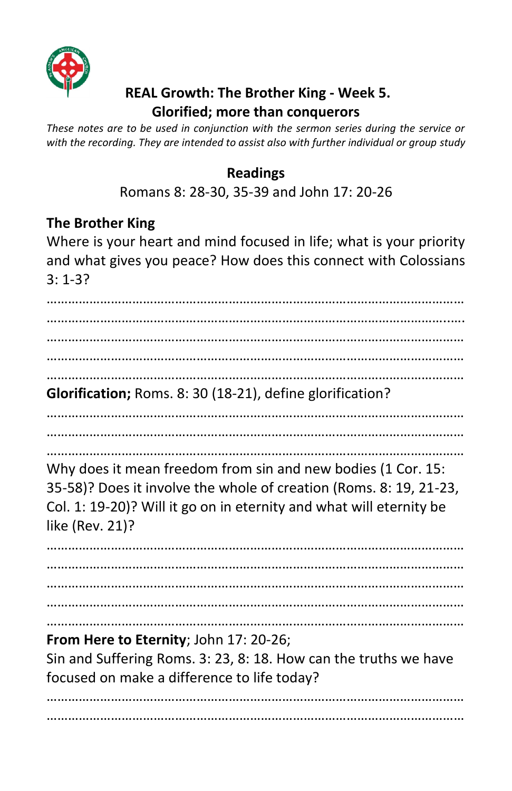

## **REAL Growth: The Brother King - Week 5. Glorified; more than conquerors**

*These notes are to be used in conjunction with the sermon series during the service or with the recording. They are intended to assist also with further individual or group study* 

## **Readings**

Romans 8: 28-30, 35-39 and John 17: 20-26

## **The Brother King**

Where is your heart and mind focused in life; what is your priority and what gives you peace? How does this connect with Colossians 3: 1-3?

……………………………………………………………………………………………………… …………………………………………………………………………………………………..…. ……………………………………………………………………………………………………… ……………………………………………………………………………………………………… ………………………………………………………………………………………………………

**Glorification;** Roms. 8: 30 (18-21), define glorification?

………………………………………………………………………………………………………

……………………………………………………………………………………………………… ………………………………………………………………………………………………………

Why does it mean freedom from sin and new bodies (1 Cor. 15: 35-58)? Does it involve the whole of creation (Roms. 8: 19, 21-23, Col. 1: 19-20)? Will it go on in eternity and what will eternity be like (Rev. 21)?

……………………………………………………………………………………………………… ……………………………………………………………………………………………………… ……………………………………………………………………………………………………… ……………………………………………………………………………………………………… ………………………………………………………………………………………………………

**From Here to Eternity**; John 17: 20-26; Sin and Suffering Roms. 3: 23, 8: 18. How can the truths we have

focused on make a difference to life today?

……………………………………………………………………………………………………… ………………………………………………………………………………………………………